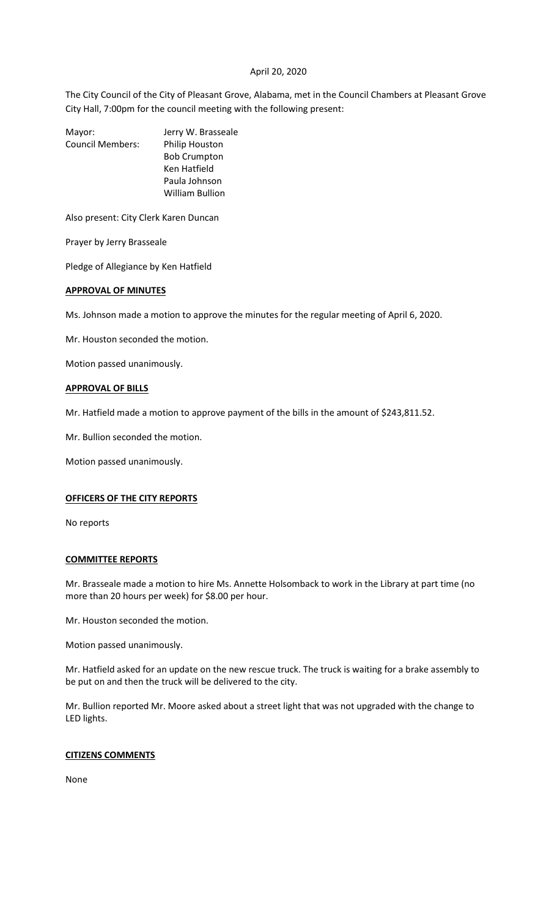# April 20, 2020

The City Council of the City of Pleasant Grove, Alabama, met in the Council Chambers at Pleasant Grove City Hall, 7:00pm for the council meeting with the following present:

Mayor: Jerry W. Brasseale Council Members: Philip Houston Bob Crumpton Ken Hatfield Paula Johnson William Bullion

Also present: City Clerk Karen Duncan

Prayer by Jerry Brasseale

Pledge of Allegiance by Ken Hatfield

## **APPROVAL OF MINUTES**

Ms. Johnson made a motion to approve the minutes for the regular meeting of April 6, 2020.

Mr. Houston seconded the motion.

Motion passed unanimously.

## **APPROVAL OF BILLS**

Mr. Hatfield made a motion to approve payment of the bills in the amount of \$243,811.52.

Mr. Bullion seconded the motion.

Motion passed unanimously.

#### **OFFICERS OF THE CITY REPORTS**

No reports

#### **COMMITTEE REPORTS**

Mr. Brasseale made a motion to hire Ms. Annette Holsomback to work in the Library at part time (no more than 20 hours per week) for \$8.00 per hour.

Mr. Houston seconded the motion.

Motion passed unanimously.

Mr. Hatfield asked for an update on the new rescue truck. The truck is waiting for a brake assembly to be put on and then the truck will be delivered to the city.

Mr. Bullion reported Mr. Moore asked about a street light that was not upgraded with the change to LED lights.

# **CITIZENS COMMENTS**

None